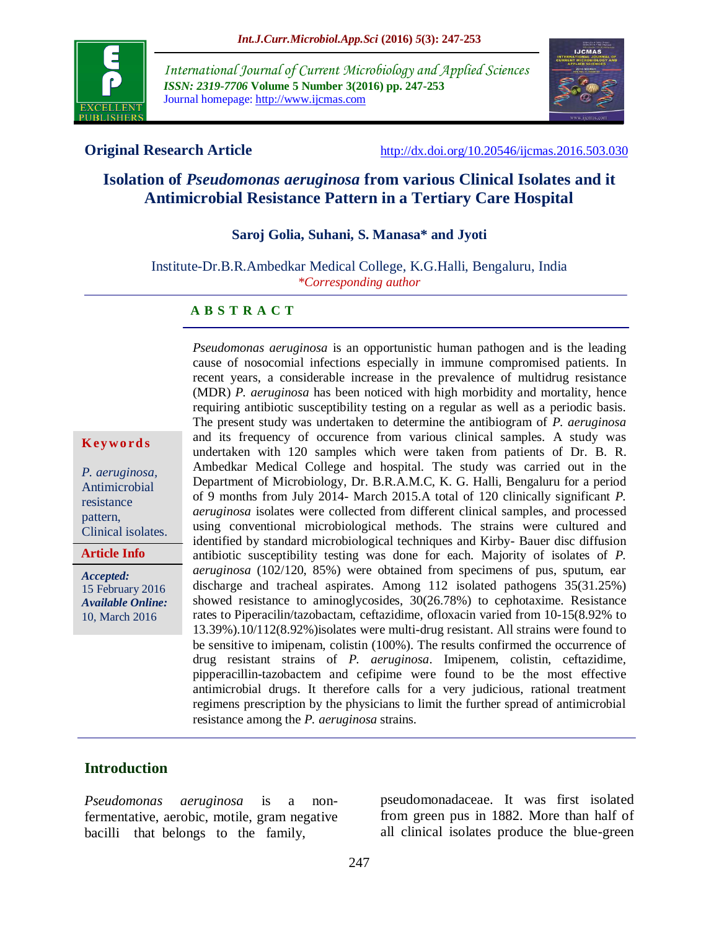

*International Journal of Current Microbiology and Applied Sciences ISSN: 2319-7706* **Volume 5 Number 3(2016) pp. 247-253** Journal homepage: http://www.ijcmas.com



**Original Research Article** <http://dx.doi.org/10.20546/ijcmas.2016.503.030>

# **Isolation of** *Pseudomonas aeruginosa* **from various Clinical Isolates and it Antimicrobial Resistance Pattern in a Tertiary Care Hospital**

**Saroj Golia, Suhani, S. Manasa\* and Jyoti**

Institute-Dr.B.R.Ambedkar Medical College, K.G.Halli, Bengaluru, India *\*Corresponding author*

#### **A B S T R A C T**

**K ey w o rd s**

*P. aeruginosa,* Antimicrobial resistance pattern, Clinical isolates.

**Article Info**

*Accepted:*  15 February 2016 *Available Online:* 10, March 2016

cause of nosocomial infections especially in immune compromised patients. In recent years, a considerable increase in the prevalence of multidrug resistance (MDR) *P. aeruginosa* has been noticed with high morbidity and mortality, hence requiring antibiotic susceptibility testing on a regular as well as a periodic basis. The present study was undertaken to determine the antibiogram of *P. aeruginosa* and its frequency of occurence from various clinical samples. A study was undertaken with 120 samples which were taken from patients of Dr. B. R. Ambedkar Medical College and hospital. The study was carried out in the Department of Microbiology, Dr. B.R.A.M.C, K. G. Halli, Bengaluru for a period of 9 months from July 2014- March 2015.A total of 120 clinically significant *P. aeruginosa* isolates were collected from different clinical samples, and processed using conventional microbiological methods. The strains were cultured and identified by standard microbiological techniques and Kirby- Bauer disc diffusion antibiotic susceptibility testing was done for each. Majority of isolates of *P. aeruginosa* (102/120, 85%) were obtained from specimens of pus, sputum, ear discharge and tracheal aspirates. Among 112 isolated pathogens 35(31.25%) showed resistance to aminoglycosides, 30(26.78%) to cephotaxime. Resistance rates to Piperacilin/tazobactam, ceftazidime, ofloxacin varied from 10-15(8.92% to 13.39%).10/112(8.92%)isolates were multi-drug resistant. All strains were found to be sensitive to imipenam, colistin (100%). The results confirmed the occurrence of drug resistant strains of *P. aeruginosa*. Imipenem, colistin, ceftazidime, pipperacillin-tazobactem and cefipime were found to be the most effective antimicrobial drugs. It therefore calls for a very judicious, rational treatment regimens prescription by the physicians to limit the further spread of antimicrobial resistance among the *P. aeruginosa* strains.

*Pseudomonas aeruginosa* is an opportunistic human pathogen and is the leading

#### **Introduction**

*Pseudomonas aeruginosa* is a nonfermentative, aerobic, motile, gram negative bacilli that belongs to the family,

pseudomonadaceae. It was first isolated from green pus in 1882. More than half of all clinical isolates produce the blue-green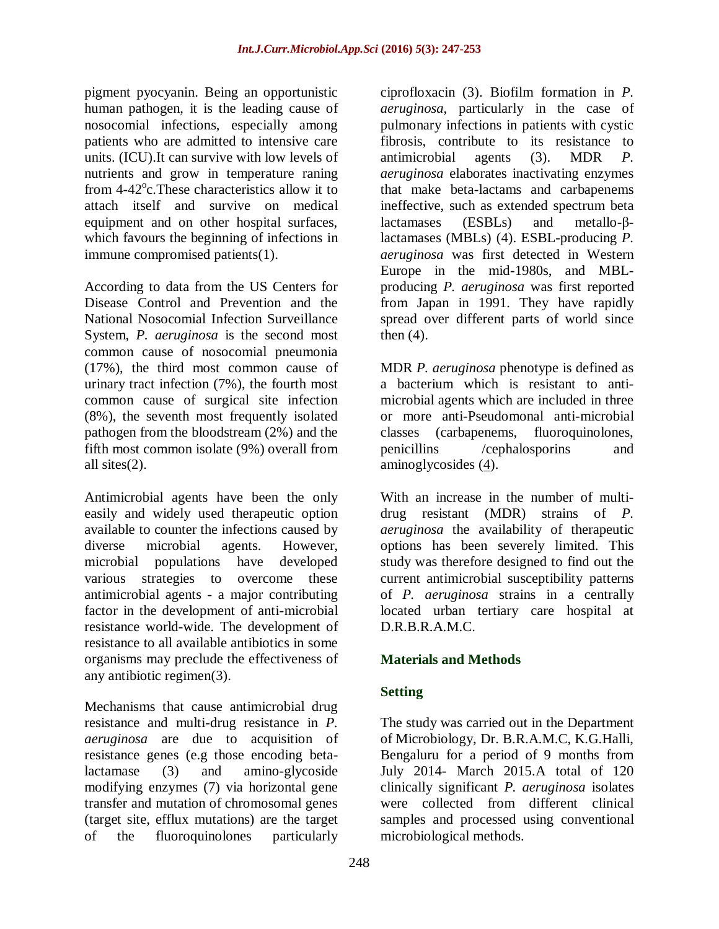pigment pyocyanin. Being an opportunistic human pathogen, it is the leading cause of nosocomial infections, especially among patients who are admitted to intensive care units. (ICU).It can survive with low levels of nutrients and grow in temperature raning from 4-42°c. These characteristics allow it to attach itself and survive on medical equipment and on other hospital surfaces, which favours the beginning of infections in immune compromised patients(1).

According to data from the US Centers for Disease Control and Prevention and the National Nosocomial Infection Surveillance System, *P. aeruginosa* is the second most common cause of nosocomial pneumonia (17%), the third most common cause of urinary tract infection (7%), the fourth most common cause of surgical site infection (8%), the seventh most frequently isolated pathogen from the bloodstream (2%) and the fifth most common isolate (9%) overall from all sites(2).

Antimicrobial agents have been the only easily and widely used therapeutic option available to counter the infections caused by diverse microbial agents. However, microbial populations have developed various strategies to overcome these antimicrobial agents - a major contributing factor in the development of anti-microbial resistance world-wide. The development of resistance to all available antibiotics in some organisms may preclude the effectiveness of any antibiotic regimen(3).

Mechanisms that cause antimicrobial drug resistance and multi-drug resistance in *P. aeruginosa* are due to acquisition of resistance genes (e.g those encoding betalactamase (3) and amino-glycoside modifying enzymes (7) via horizontal gene transfer and mutation of chromosomal genes (target site, efflux mutations) are the target of the fluoroquinolones particularly

ciprofloxacin (3). Biofilm formation in *P. aeruginosa*, particularly in the case of pulmonary infections in patients with cystic fibrosis, contribute to its resistance to antimicrobial agents (3). MDR *P. aeruginosa* elaborates inactivating enzymes that make beta-lactams and carbapenems ineffective, such as extended spectrum beta lactamases (ESBLs) and metallo-βlactamases (MBLs) (4). ESBL-producing *P. aeruginosa* was first detected in Western Europe in the mid-1980s, and MBLproducing *P. aeruginosa* was first reported from Japan in 1991. They have rapidly spread over different parts of world since then (4).

MDR *P. aeruginosa* phenotype is defined as a bacterium which is resistant to antimicrobial agents which are included in three or more anti-Pseudomonal anti-microbial classes (carbapenems, fluoroquinolones, penicillins /cephalosporins and aminoglycosides  $(4)$ .

With an increase in the number of multidrug resistant (MDR) strains of *P. aeruginosa* the availability of therapeutic options has been severely limited. This study was therefore designed to find out the current antimicrobial susceptibility patterns of *P. aeruginosa* strains in a centrally located urban tertiary care hospital at D.R.B.R.A.M.C.

# **Materials and Methods**

# **Setting**

The study was carried out in the Department of Microbiology, Dr. B.R.A.M.C, K.G.Halli, Bengaluru for a period of 9 months from July 2014- March 2015.A total of 120 clinically significant *P. aeruginosa* isolates were collected from different clinical samples and processed using conventional microbiological methods.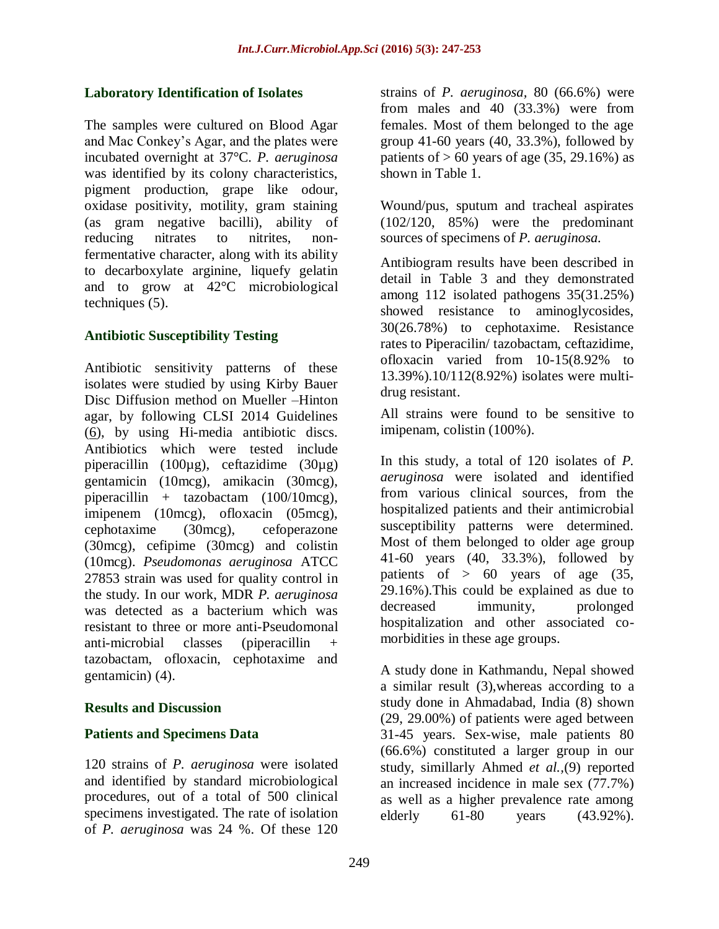### **Laboratory Identification of Isolates**

The samples were cultured on Blood Agar and Mac Conkey's Agar, and the plates were incubated overnight at 37°C. *P. aeruginosa* was identified by its colony characteristics, pigment production, grape like odour, oxidase positivity, motility, gram staining (as gram negative bacilli), ability of reducing nitrates to nitrites, nonfermentative character, along with its ability to decarboxylate arginine, liquefy gelatin and to grow at 42°C microbiological techniques [\(5\)](http://www.ncbi.nlm.nih.gov/pmc/articles/PMC4080000/#b5).

## **Antibiotic Susceptibility Testing**

Antibiotic sensitivity patterns of these isolates were studied by using Kirby Bauer Disc Diffusion method on Mueller –Hinton agar, by following CLSI 2014 Guidelines [\(6\)](http://www.ncbi.nlm.nih.gov/pmc/articles/PMC4080000/#b6), by using Hi-media antibiotic discs. Antibiotics which were tested include piperacillin (100µg), ceftazidime (30µg) gentamicin (10mcg), amikacin (30mcg), piperacillin + tazobactam (100/10mcg), imipenem (10mcg), ofloxacin (05mcg), cephotaxime (30mcg), cefoperazone (30mcg), cefipime (30mcg) and colistin (10mcg). *Pseudomonas aeruginosa* ATCC 27853 strain was used for quality control in the study. In our work, MDR *P. aeruginosa* was detected as a bacterium which was resistant to three or more anti-Pseudomonal anti-microbial classes (piperacillin + tazobactam, ofloxacin, cephotaxime and gentamicin) [\(4\)](http://www.ncbi.nlm.nih.gov/pmc/articles/PMC4080000/#b4).

#### **Results and Discussion**

## **Patients and Specimens Data**

120 strains of *P. aeruginosa* were isolated and identified by standard microbiological procedures, out of a total of 500 clinical specimens investigated. The rate of isolation of *P. aeruginosa* was 24 %. Of these 120

strains of *P. aeruginosa,* 80 (66.6%) were from males and 40 (33.3%) were from females. Most of them belonged to the age group 41-60 years (40, 33.3%), followed by patients of  $> 60$  years of age (35, 29.16%) as shown in Table 1.

Wound/pus, sputum and tracheal aspirates (102/120, 85%) were the predominant sources of specimens of *P. aeruginosa.*

Antibiogram results have been described in detail in Table 3 and they demonstrated among 112 isolated pathogens 35(31.25%) showed resistance to aminoglycosides, 30(26.78%) to cephotaxime. Resistance rates to Piperacilin/ tazobactam, ceftazidime, ofloxacin varied from 10-15(8.92% to 13.39%).10/112(8.92%) isolates were multidrug resistant.

All strains were found to be sensitive to imipenam, colistin (100%).

In this study, a total of 120 isolates of *P. aeruginosa* were isolated and identified from various clinical sources, from the hospitalized patients and their antimicrobial susceptibility patterns were determined. Most of them belonged to older age group 41-60 years (40, 33.3%), followed by patients of  $> 60$  years of age  $(35,$ 29.16%).This could be explained as due to decreased immunity, prolonged hospitalization and other associated comorbidities in these age groups.

A study done in Kathmandu, Nepal showed a similar result (3),whereas according to a study done in Ahmadabad, India (8) shown (29, 29.00%) of patients were aged between 31-45 years. Sex-wise, male patients 80 (66.6%) constituted a larger group in our study, simillarly Ahmed *et al.,*(9) reported an increased incidence in male sex (77.7%) as well as a higher prevalence rate among elderly 61-80 years (43.92%).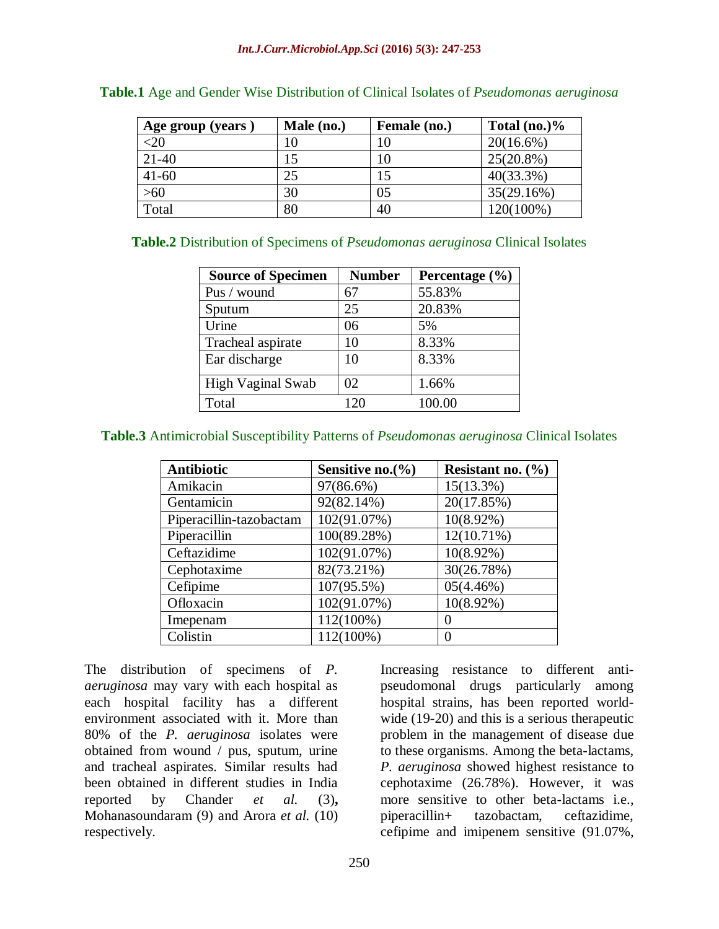| Age group (years) | Male (no.) | Female (no.) | Total $(no.)\%$ |
|-------------------|------------|--------------|-----------------|
| $20$              | 10         |              | $20(16.6\%)$    |
| $21 - 40$         | 15         | 10           | $25(20.8\%)$    |
| $41 - 60$         | 25         |              | $40(33.3\%)$    |
| $>60$             | 30         | 05           | 35(29.16%)      |
| Total             | 80         | 40           | 120(100%)       |

|  |  | <b>Table.1</b> Age and Gender Wise Distribution of Clinical Isolates of <i>Pseudomonas aeruginosa</i> |  |  |  |
|--|--|-------------------------------------------------------------------------------------------------------|--|--|--|
|  |  |                                                                                                       |  |  |  |

**Table.2** Distribution of Specimens of *Pseudomonas aeruginosa* Clinical Isolates

| <b>Source of Specimen</b> | <b>Number</b> | Percentage $(\% )$ |
|---------------------------|---------------|--------------------|
| Pus / wound               | 67            | 55.83%             |
| Sputum                    | 25            | 20.83%             |
| Urine                     | 06            | 5%                 |
| Tracheal aspirate         | 10            | 8.33%              |
| Ear discharge             | 10            | 8.33%              |
| <b>High Vaginal Swab</b>  | 02            | 1.66%              |
| Total                     | 120           | 100.00             |

**Table.3** Antimicrobial Susceptibility Patterns of *Pseudomonas aeruginosa* Clinical Isolates

| <b>Antibiotic</b>       | Sensitive no. $\%$ | Resistant no. $(\% )$ |
|-------------------------|--------------------|-----------------------|
| Amikacin                | 97(86.6%)          | $15(13.3\%)$          |
| Gentamicin              | 92(82.14%)         | 20(17.85%)            |
| Piperacillin-tazobactam | 102(91.07%)        | $10(8.92\%)$          |
| Piperacillin            | 100(89.28%)        | 12(10.71%)            |
| Ceftazidime             | 102(91.07%)        | $10(8.92\%)$          |
| Cephotaxime             | 82(73.21%)         | 30(26.78%)            |
| Cefipime                | 107(95.5%)         | 05(4.46%)             |
| Ofloxacin               | 102(91.07%)        | $10(8.92\%)$          |
| Imepenam                | 112(100%)          | 0                     |
| Colistin                | 112(100%)          | 0                     |

The distribution of specimens of *P. aeruginosa* may vary with each hospital as each hospital facility has a different environment associated with it. More than 80% of the *P. aeruginosa* isolates were obtained from wound / pus, sputum, urine and tracheal aspirates. Similar results had been obtained in different studies in India reported by Chander *et al.* (3)**,**  Mohanasoundaram (9) and Arora *et al.* (10) respectively.

Increasing resistance to different antipseudomonal drugs particularly among hospital strains, has been reported worldwide (19-20) and this is a serious therapeutic problem in the management of disease due to these organisms. Among the beta-lactams, *P. aeruginosa* showed highest resistance to cephotaxime (26.78%). However, it was more sensitive to other beta-lactams i.e., piperacillin+ tazobactam, ceftazidime, cefipime and imipenem sensitive (91.07%,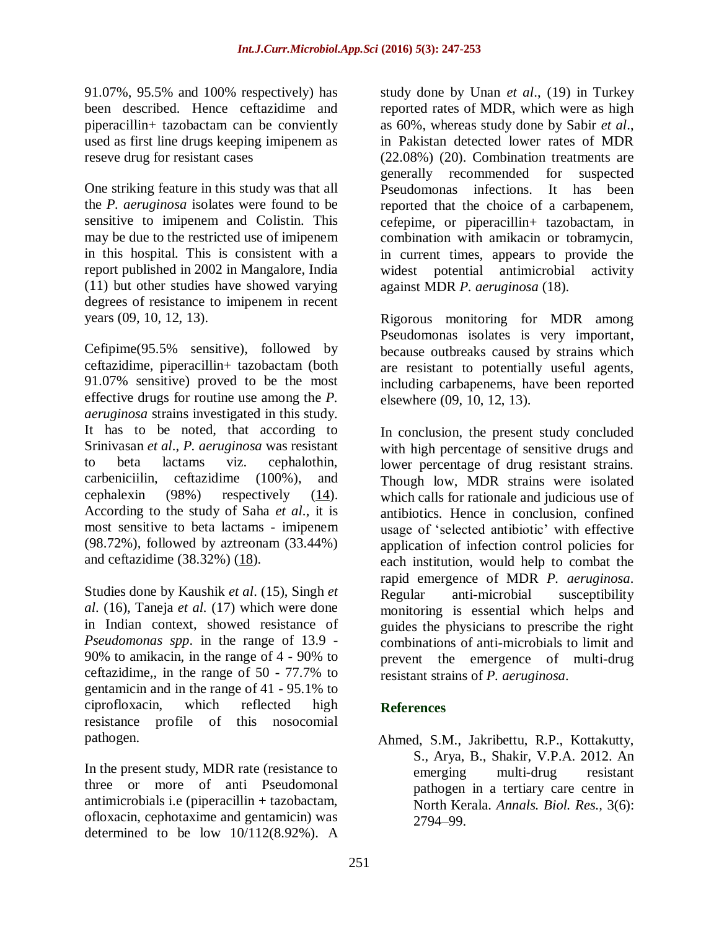91.07%, 95.5% and 100% respectively) has been described. Hence ceftazidime and piperacillin+ tazobactam can be conviently used as first line drugs keeping imipenem as reseve drug for resistant cases

One striking feature in this study was that all the *P. aeruginosa* isolates were found to be sensitive to imipenem and Colistin. This may be due to the restricted use of imipenem in this hospital. This is consistent with a report published in 2002 in Mangalore, India (11) but other studies have showed varying degrees of resistance to imipenem in recent years (09, 10, 12, 13).

Cefipime(95.5% sensitive), followed by ceftazidime, piperacillin+ tazobactam (both 91.07% sensitive) proved to be the most effective drugs for routine use among the *P. aeruginosa* strains investigated in this study. It has to be noted, that according to Srinivasan *et al*., *P. aeruginosa* was resistant to beta lactams viz. cephalothin, carbeniciilin, ceftazidime (100%), and cephalexin (98%) respectively (14). According to the study of Saha *et al*., it is most sensitive to beta lactams - imipenem (98.72%), followed by aztreonam (33.44%) and ceftazidime (38.32%) (18).

Studies done by Kaushik *et al*. (15), Singh *et al*. (16), Taneja *et al.* (17) which were done in Indian context, showed resistance of *Pseudomonas spp*. in the range of 13.9 - 90% to amikacin, in the range of 4 - 90% to ceftazidime,, in the range of 50 - 77.7% to gentamicin and in the range of 41 - 95.1% to ciprofloxacin, which reflected high resistance profile of this nosocomial pathogen.

In the present study, MDR rate (resistance to three or more of anti Pseudomonal antimicrobials i.e (piperacillin + tazobactam, ofloxacin, cephotaxime and gentamicin) was determined to be low 10/112(8.92%). A

study done by Unan *et al*., (19) in Turkey reported rates of MDR, which were as high as 60%, whereas study done by Sabir *et al*., in Pakistan detected lower rates of MDR (22.08%) (20). Combination treatments are generally recommended for suspected Pseudomonas infections. It has been reported that the choice of a carbapenem, cefepime, or piperacillin+ tazobactam, in combination with amikacin or tobramycin, in current times, appears to provide the widest potential antimicrobial activity against MDR *P. aeruginosa* ([18\)](http://www.ncbi.nlm.nih.gov/pmc/articles/PMC4080000/#b16).

Rigorous monitoring for MDR among Pseudomonas isolates is very important, because outbreaks caused by strains which are resistant to potentially useful agents, including carbapenems, have been reported elsewhere (09, 10, 12, 13).

In conclusion, the present study concluded with high percentage of sensitive drugs and lower percentage of drug resistant strains. Though low, MDR strains were isolated which calls for rationale and judicious use of antibiotics. Hence in conclusion, confined usage of 'selected antibiotic' with effective application of infection control policies for each institution, would help to combat the rapid emergence of MDR *P. aeruginosa*. Regular anti-microbial susceptibility monitoring is essential which helps and guides the physicians to prescribe the right combinations of anti-microbials to limit and prevent the emergence of multi-drug resistant strains of *P. aeruginosa*.

## **References**

Ahmed, S.M., Jakribettu, R.P., Kottakutty, S., Arya, B., Shakir, V.P.A. 2012. An emerging multi-drug resistant pathogen in a tertiary care centre in North Kerala. *Annals. Biol. Res.,* 3(6): 2794–99.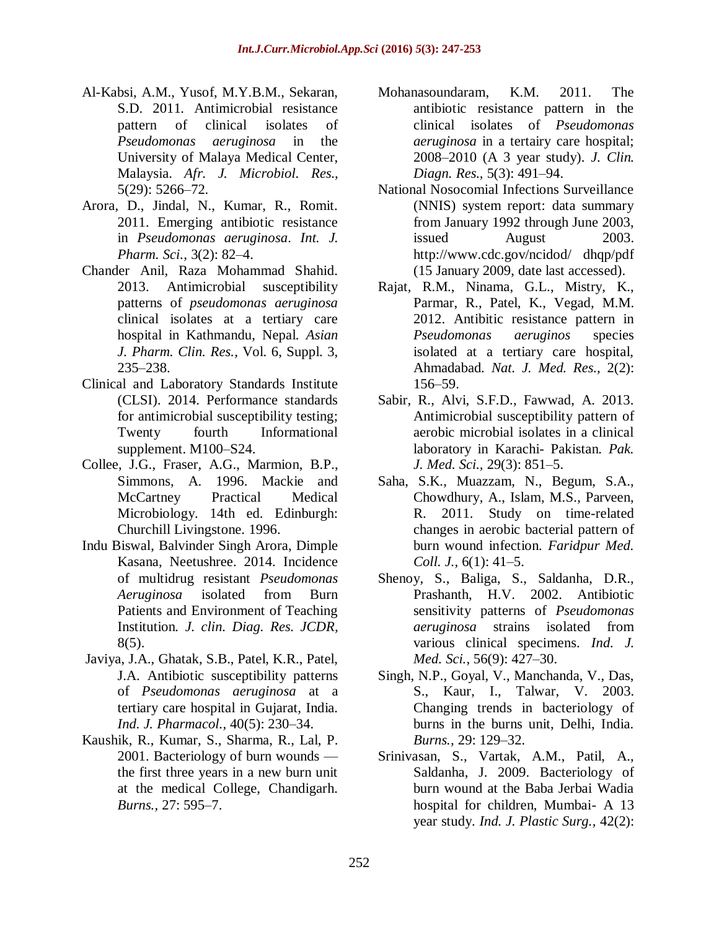- Al-Kabsi, A.M., Yusof, M.Y.B.M., Sekaran, S.D. 2011. Antimicrobial resistance pattern of clinical isolates of *Pseudomonas aeruginosa* in the University of Malaya Medical Center, Malaysia. *Afr. J. Microbiol. Res.,*  5(29): 5266–72.
- Arora, D., Jindal, N., Kumar, R., Romit. 2011. Emerging antibiotic resistance in *Pseudomonas aeruginosa*. *Int. J. Pharm. Sci.,* 3(2): 82–4.
- Chander Anil, Raza Mohammad Shahid. 2013. Antimicrobial susceptibility patterns of *pseudomonas aeruginosa*  clinical isolates at a tertiary care hospital in Kathmandu, Nepal. *Asian J. Pharm. Clin. Res.,* Vol. 6, Suppl. 3, 235–238.
- Clinical and Laboratory Standards Institute (CLSI). 2014. Performance standards for antimicrobial susceptibility testing; Twenty fourth Informational supplement. M100*–*S24.
- Collee, J.G., Fraser, A.G., Marmion, B.P., Simmons, A. 1996. Mackie and McCartney Practical Medical Microbiology. 14th ed. Edinburgh: Churchill Livingstone. 1996.
- [Indu Biswal,](http://www.ncbi.nlm.nih.gov/pubmed/?term=Biswal%20I%5Bauth%5D) [Balvinder Singh Arora,](http://www.ncbi.nlm.nih.gov/pubmed/?term=Arora%20BS%5Bauth%5D) [Dimple](http://www.ncbi.nlm.nih.gov/pubmed/?term=Kasana%20D%5Bauth%5D)  [Kasana,](http://www.ncbi.nlm.nih.gov/pubmed/?term=Kasana%20D%5Bauth%5D) [Neetushree.](http://www.ncbi.nlm.nih.gov/pubmed/?term=Neetushree%20%5Bauth%5D) 2014. Incidence of multidrug resistant *Pseudomonas Aeruginosa* isolated from Burn Patients and Environment of Teaching Institution*. J. clin. Diag. Res. JCDR,* 8(5).
- Javiya, J.A., Ghatak, S.B., Patel, K.R., Patel, J.A. Antibiotic susceptibility patterns of *Pseudomonas aeruginosa* at a tertiary care hospital in Gujarat, India. *Ind. J. Pharmacol.,* 40(5): 230–34.
- Kaushik, R., Kumar, S., Sharma, R., Lal, P. 2001. Bacteriology of burn wounds the first three years in a new burn unit at the medical College, Chandigarh*. Burns.,* 27: 595–7.
- Mohanasoundaram, K.M. 2011. The antibiotic resistance pattern in the clinical isolates of *Pseudomonas aeruginosa* in a tertairy care hospital; 2008*–*2010 (A 3 year study). *J. Clin. Diagn. Res.,* 5(3): 491–94.
- National Nosocomial Infections Surveillance (NNIS) system report: data summary from January 1992 through June 2003, issued August 2003. [http://www.cdc.gov/ncidod/ dhqp/pdf](http://www.cdc.gov/ncidod/%20dhqp/pdf) (15 January 2009, date last accessed).
- Rajat, R.M., Ninama, G.L., Mistry, K., Parmar, R., Patel, K., Vegad, M.M. 2012. Antibitic resistance pattern in *Pseudomonas aeruginos* species isolated at a tertiary care hospital, Ahmadabad*. Nat. J. Med. Res.,* 2(2): 156–59.
- Sabir, R., Alvi, S.F.D., Fawwad, A. 2013. Antimicrobial susceptibility pattern of aerobic microbial isolates in a clinical laboratory in Karachi- Pakistan*. Pak. J. Med. Sci.,* 29(3): 851–5.
- Saha, S.K., Muazzam, N., Begum, S.A., Chowdhury, A., Islam, M.S., Parveen, R. 2011. Study on time-related changes in aerobic bacterial pattern of burn wound infection. *Faridpur Med. Coll. J.,* 6(1): 41–5.
- Shenoy, S., Baliga, S., Saldanha, D.R., Prashanth, H.V. 2002. Antibiotic sensitivity patterns of *Pseudomonas aeruginosa* strains isolated from various clinical specimens. *Ind. J. Med. Sci.,* 56(9): 427–30.
- Singh, N.P., Goyal, V., Manchanda, V., Das, S., Kaur, I., Talwar, V. 2003. Changing trends in bacteriology of burns in the burns unit, Delhi, India. *Burns.,* 29: 129–32.
- Srinivasan, S., Vartak, A.M., Patil, A., Saldanha, J. 2009. Bacteriology of burn wound at the Baba Jerbai Wadia hospital for children, Mumbai- A 13 year study. *Ind. J. Plastic Surg.,* 42(2):